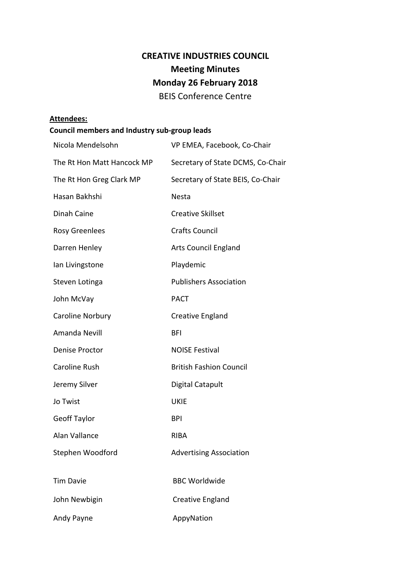# **CREATIVE INDUSTRIES COUNCIL Meeting Minutes Monday 26 February 2018** BEIS Conference Centre

#### **Attendees:**

## **Council members and Industry sub-group leads**

| Nicola Mendelsohn          | VP EMEA, Facebook, Co-Chair       |
|----------------------------|-----------------------------------|
| The Rt Hon Matt Hancock MP | Secretary of State DCMS, Co-Chair |
| The Rt Hon Greg Clark MP   | Secretary of State BEIS, Co-Chair |
| Hasan Bakhshi              | Nesta                             |
| Dinah Caine                | <b>Creative Skillset</b>          |
| <b>Rosy Greenlees</b>      | <b>Crafts Council</b>             |
| Darren Henley              | <b>Arts Council England</b>       |
| Ian Livingstone            | Playdemic                         |
| Steven Lotinga             | <b>Publishers Association</b>     |
| John McVay                 | <b>PACT</b>                       |
| Caroline Norbury           | Creative England                  |
| Amanda Nevill              | <b>BFI</b>                        |
| Denise Proctor             | <b>NOISE Festival</b>             |
| Caroline Rush              | <b>British Fashion Council</b>    |
| Jeremy Silver              | <b>Digital Catapult</b>           |
| Jo Twist                   | <b>UKIE</b>                       |
| <b>Geoff Taylor</b>        | <b>BPI</b>                        |
| Alan Vallance              | <b>RIBA</b>                       |
| Stephen Woodford           | <b>Advertising Association</b>    |
|                            |                                   |
| <b>Tim Davie</b>           | <b>BBC Worldwide</b>              |
| John Newbigin              | Creative England                  |
| Andy Payne                 | AppyNation                        |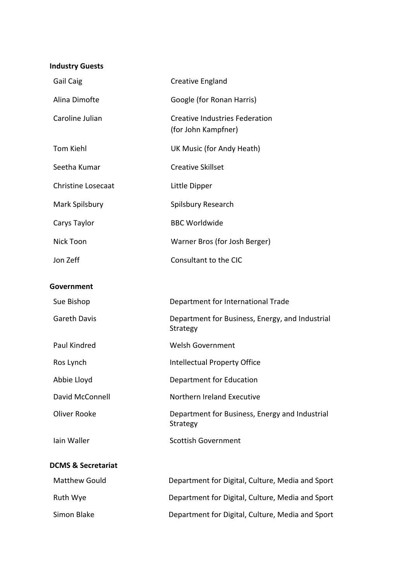### **Industry Guests**

| Gail Caig                     | <b>Creative England</b>                                      |
|-------------------------------|--------------------------------------------------------------|
| Alina Dimofte                 | Google (for Ronan Harris)                                    |
| Caroline Julian               | <b>Creative Industries Federation</b><br>(for John Kampfner) |
| <b>Tom Kiehl</b>              | UK Music (for Andy Heath)                                    |
| Seetha Kumar                  | <b>Creative Skillset</b>                                     |
| <b>Christine Losecaat</b>     | Little Dipper                                                |
| Mark Spilsbury                | Spilsbury Research                                           |
| Carys Taylor                  | <b>BBC Worldwide</b>                                         |
| Nick Toon                     | Warner Bros (for Josh Berger)                                |
| Jon Zeff                      | Consultant to the CIC                                        |
| Government                    |                                                              |
| Sue Bishop                    | Department for International Trade                           |
| <b>Gareth Davis</b>           | Department for Business, Energy, and Industrial<br>Strategy  |
| Paul Kindred                  | <b>Welsh Government</b>                                      |
| Ros Lynch                     | <b>Intellectual Property Office</b>                          |
| Abbie Lloyd                   | Department for Education                                     |
| David McConnell               | Northern Ireland Executive                                   |
| <b>Oliver Rooke</b>           | Department for Business, Energy and Industrial<br>Strategy   |
| lain Waller                   | <b>Scottish Government</b>                                   |
| <b>DCMS &amp; Secretariat</b> |                                                              |
| <b>Matthew Gould</b>          | Department for Digital, Culture, Media and Sport             |
| Ruth Wye                      | Department for Digital, Culture, Media and Sport             |

Simon Blake **Department for Digital, Culture, Media and Sport**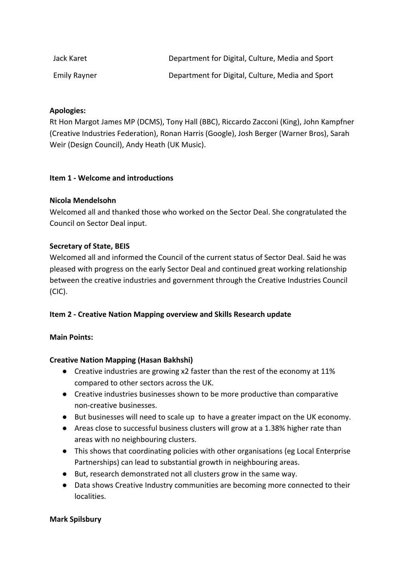| Jack Karet          | Department for Digital, Culture, Media and Sport |
|---------------------|--------------------------------------------------|
| <b>Emily Rayner</b> | Department for Digital, Culture, Media and Sport |

### **Apologies:**

Rt Hon Margot James MP (DCMS), Tony Hall (BBC), Riccardo Zacconi (King), John Kampfner (Creative Industries Federation), Ronan Harris (Google), Josh Berger (Warner Bros), Sarah Weir (Design Council), Andy Heath (UK Music).

### **Item 1 - Welcome and introductions**

### **Nicola Mendelsohn**

Welcomed all and thanked those who worked on the Sector Deal. She congratulated the Council on Sector Deal input.

#### **Secretary of State, BEIS**

Welcomed all and informed the Council of the current status of Sector Deal. Said he was pleased with progress on the early Sector Deal and continued great working relationship between the creative industries and government through the Creative Industries Council (CIC).

### **Item 2 - Creative Nation Mapping overview and Skills Research update**

### **Main Points:**

### **Creative Nation Mapping (Hasan Bakhshi)**

- Creative industries are growing x2 faster than the rest of the economy at 11% compared to other sectors across the UK.
- Creative industries businesses shown to be more productive than comparative non-creative businesses.
- But businesses will need to scale up to have a greater impact on the UK economy.
- Areas close to successful business clusters will grow at a 1.38% higher rate than areas with no neighbouring clusters.
- This shows that coordinating policies with other organisations (eg Local Enterprise Partnerships) can lead to substantial growth in neighbouring areas.
- But, research demonstrated not all clusters grow in the same way.
- Data shows Creative Industry communities are becoming more connected to their localities.

#### **Mark Spilsbury**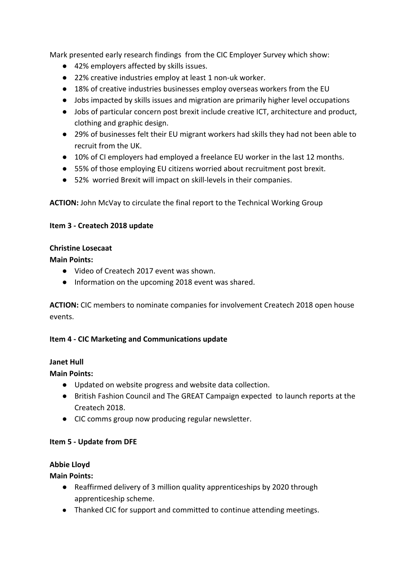Mark presented early research findings from the CIC Employer Survey which show:

- **●** 42% employers affected by skills issues.
- **●** 22% creative industries employ at least 1 non-uk worker.
- 18% of creative industries businesses employ overseas workers from the EU
- **●** Jobs impacted by skills issues and migration are primarily higher level occupations
- **●** Jobs of particular concern post brexit include creative ICT, architecture and product, clothing and graphic design.
- **●** 29% of businesses felt their EU migrant workers had skills they had not been able to recruit from the UK.
- **●** 10% of CI employers had employed a freelance EU worker in the last 12 months.
- **●** 55% of those employing EU citizens worried about recruitment post brexit.
- **●** 52% worried Brexit will impact on skill-levels in their companies.

**ACTION:** John McVay to circulate the final report to the Technical Working Group

### **Item 3 - Createch 2018 update**

### **Christine Losecaat**

### **Main Points:**

- Video of Createch 2017 event was shown.
- Information on the upcoming 2018 event was shared.

**ACTION:** CIC members to nominate companies for involvement Createch 2018 open house events.

### **Item 4 - CIC Marketing and Communications update**

### **Janet Hull**

**Main Points:**

- Updated on website progress and website data collection.
- British Fashion Council and The GREAT Campaign expected to launch reports at the Createch 2018.
- CIC comms group now producing regular newsletter.

### **Item 5 - Update from DFE**

### **Abbie Lloyd**

**Main Points:**

- Reaffirmed delivery of 3 million quality apprenticeships by 2020 through apprenticeship scheme.
- Thanked CIC for support and committed to continue attending meetings.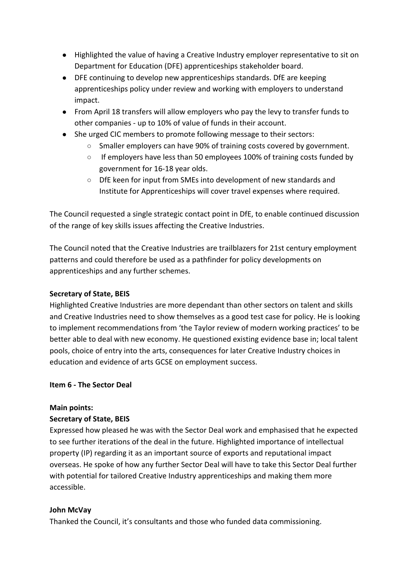- Highlighted the value of having a Creative Industry employer representative to sit on Department for Education (DFE) apprenticeships stakeholder board.
- DFE continuing to develop new apprenticeships standards. DfE are keeping apprenticeships policy under review and working with employers to understand impact.
- From April 18 transfers will allow employers who pay the levy to transfer funds to other companies - up to 10% of value of funds in their account.
- She urged CIC members to promote following message to their sectors:
	- Smaller employers can have 90% of training costs covered by government.
	- If employers have less than 50 employees 100% of training costs funded by government for 16-18 year olds.
	- DfE keen for input from SMEs into development of new standards and Institute for Apprenticeships will cover travel expenses where required.

The Council requested a single strategic contact point in DfE, to enable continued discussion of the range of key skills issues affecting the Creative Industries.

The Council noted that the Creative Industries are trailblazers for 21st century employment patterns and could therefore be used as a pathfinder for policy developments on apprenticeships and any further schemes.

### **Secretary of State, BEIS**

Highlighted Creative Industries are more dependant than other sectors on talent and skills and Creative Industries need to show themselves as a good test case for policy. He is looking to implement recommendations from 'the Taylor review of modern working practices' to be better able to deal with new economy. He questioned existing evidence base in; local talent pools, choice of entry into the arts, consequences for later Creative Industry choices in education and evidence of arts GCSE on employment success.

### **Item 6 - The Sector Deal**

### **Main points:**

### **Secretary of State, BEIS**

Expressed how pleased he was with the Sector Deal work and emphasised that he expected to see further iterations of the deal in the future. Highlighted importance of intellectual property (IP) regarding it as an important source of exports and reputational impact overseas. He spoke of how any further Sector Deal will have to take this Sector Deal further with potential for tailored Creative Industry apprenticeships and making them more accessible.

### **John McVay**

Thanked the Council, it's consultants and those who funded data commissioning.